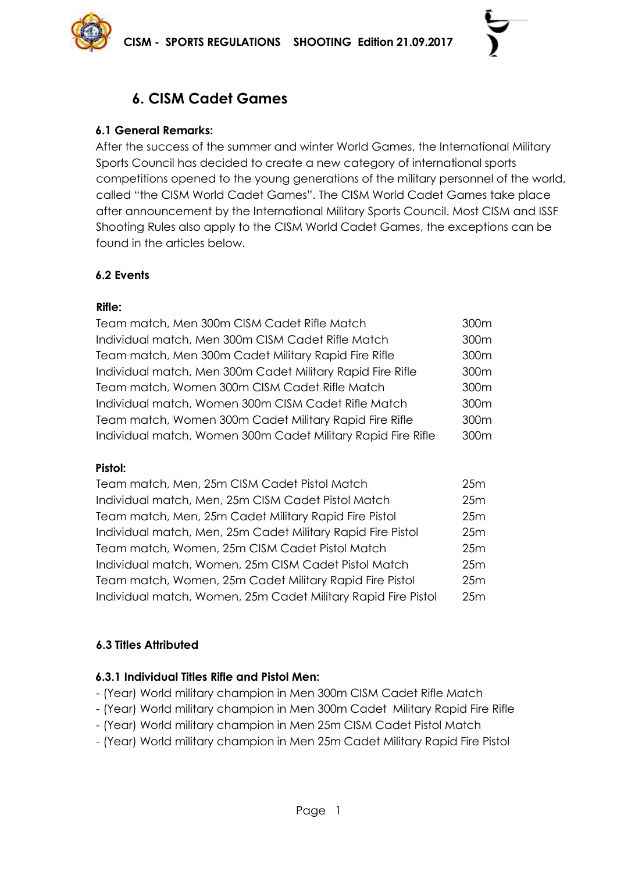

# **6. CISM Cadet Games**

## **6.1 General Remarks:**

After the success of the summer and winter World Games, the International Military Sports Council has decided to create a new category of international sports competitions opened to the young generations of the military personnel of the world, called "the CISM World Cadet Games". The CISM World Cadet Games take place after announcement by the International Military Sports Council. Most CISM and ISSF Shooting Rules also apply to the CISM World Cadet Games, the exceptions can be found in the articles below.

## **6.2 Events**

## **Rifle:**

| 300m |
|------|
| 300m |
| 300m |
| 300m |
| 300m |
| 300m |
| 300m |
| 300m |
|      |

#### **Pistol:**

| Team match, Men, 25m CISM Cadet Pistol Match                  | 25m |
|---------------------------------------------------------------|-----|
| Individual match, Men, 25m CISM Cadet Pistol Match            | 25m |
| Team match, Men, 25m Cadet Military Rapid Fire Pistol         | 25m |
| Individual match, Men, 25m Cadet Military Rapid Fire Pistol   | 25m |
| Team match, Women, 25m CISM Cadet Pistol Match                | 25m |
| Individual match, Women, 25m CISM Cadet Pistol Match          | 25m |
| Team match, Women, 25m Cadet Military Rapid Fire Pistol       | 25m |
| Individual match, Women, 25m Cadet Military Rapid Fire Pistol | 25m |
|                                                               |     |

# **6.3 Titles Attributed**

#### **6.3.1 Individual Titles Rifle and Pistol Men:**

- (Year) World military champion in Men 300m CISM Cadet Rifle Match
- (Year) World military champion in Men 300m Cadet Military Rapid Fire Rifle
- (Year) World military champion in Men 25m CISM Cadet Pistol Match
- (Year) World military champion in Men 25m Cadet Military Rapid Fire Pistol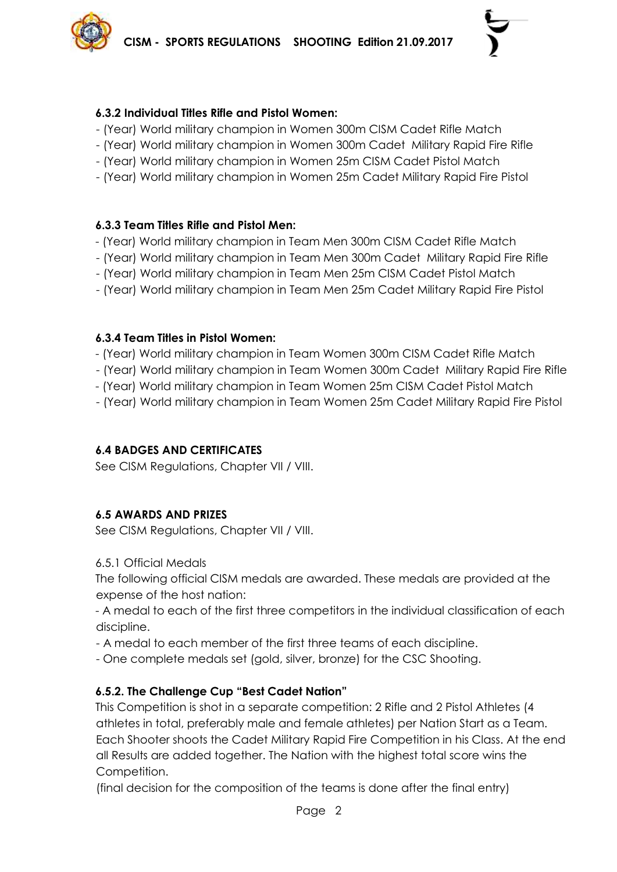#### **6.3.2 Individual Titles Rifle and Pistol Women:**

- (Year) World military champion in Women 300m CISM Cadet Rifle Match
- (Year) World military champion in Women 300m Cadet Military Rapid Fire Rifle
- (Year) World military champion in Women 25m CISM Cadet Pistol Match
- (Year) World military champion in Women 25m Cadet Military Rapid Fire Pistol

## **6.3.3 Team Titles Rifle and Pistol Men:**

- (Year) World military champion in Team Men 300m CISM Cadet Rifle Match
- (Year) World military champion in Team Men 300m Cadet Military Rapid Fire Rifle
- (Year) World military champion in Team Men 25m CISM Cadet Pistol Match
- (Year) World military champion in Team Men 25m Cadet Military Rapid Fire Pistol

## **6.3.4 Team Titles in Pistol Women:**

- (Year) World military champion in Team Women 300m CISM Cadet Rifle Match
- (Year) World military champion in Team Women 300m Cadet Military Rapid Fire Rifle
- (Year) World military champion in Team Women 25m CISM Cadet Pistol Match
- (Year) World military champion in Team Women 25m Cadet Military Rapid Fire Pistol

# **6.4 BADGES AND CERTIFICATES**

See CISM Regulations, Chapter VII / VIII.

# **6.5 AWARDS AND PRIZES**

See CISM Regulations, Chapter VII / VIII.

6.5.1 Official Medals

The following official CISM medals are awarded. These medals are provided at the expense of the host nation:

- A medal to each of the first three competitors in the individual classification of each discipline.

- A medal to each member of the first three teams of each discipline.
- One complete medals set (gold, silver, bronze) for the CSC Shooting.

# **6.5.2. The Challenge Cup "Best Cadet Nation"**

This Competition is shot in a separate competition: 2 Rifle and 2 Pistol Athletes (4 athletes in total, preferably male and female athletes) per Nation Start as a Team. Each Shooter shoots the Cadet Military Rapid Fire Competition in his Class. At the end all Results are added together. The Nation with the highest total score wins the Competition.

(final decision for the composition of the teams is done after the final entry)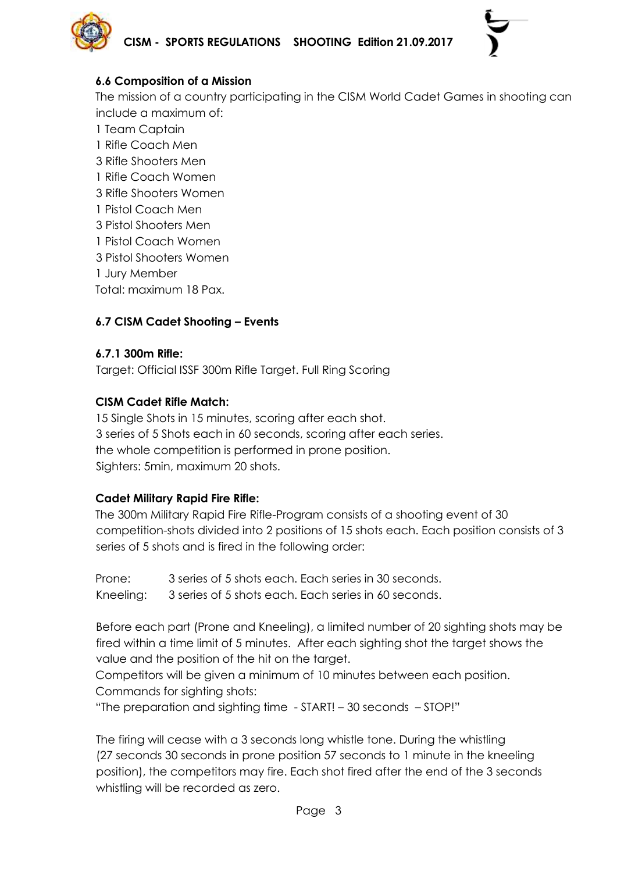

## **6.6 Composition of a Mission**

The mission of a country participating in the CISM World Cadet Games in shooting can include a maximum of:

- 1 Team Captain
- 1 Rifle Coach Men
- 3 Rifle Shooters Men
- 1 Rifle Coach Women
- 3 Rifle Shooters Women
- 1 Pistol Coach Men
- 3 Pistol Shooters Men
- 1 Pistol Coach Women
- 3 Pistol Shooters Women
- 1 Jury Member
- Total: maximum 18 Pax.

# **6.7 CISM Cadet Shooting – Events**

## **6.7.1 300m Rifle:**

Target: Official ISSF 300m Rifle Target. Full Ring Scoring

## **CISM Cadet Rifle Match:**

15 Single Shots in 15 minutes, scoring after each shot. 3 series of 5 Shots each in 60 seconds, scoring after each series. the whole competition is performed in prone position. Sighters: 5min, maximum 20 shots.

# **Cadet Military Rapid Fire Rifle:**

The 300m Military Rapid Fire Rifle-Program consists of a shooting event of 30 competition-shots divided into 2 positions of 15 shots each. Each position consists of 3 series of 5 shots and is fired in the following order:

Prone: 3 series of 5 shots each. Each series in 30 seconds.

Kneeling: 3 series of 5 shots each. Each series in 60 seconds.

Before each part (Prone and Kneeling), a limited number of 20 sighting shots may be fired within a time limit of 5 minutes. After each sighting shot the target shows the value and the position of the hit on the target.

Competitors will be given a minimum of 10 minutes between each position. Commands for sighting shots:

"The preparation and sighting time - START! – 30 seconds – STOP!"

The firing will cease with a 3 seconds long whistle tone. During the whistling (27 seconds 30 seconds in prone position 57 seconds to 1 minute in the kneeling position), the competitors may fire. Each shot fired after the end of the 3 seconds whistling will be recorded as zero.